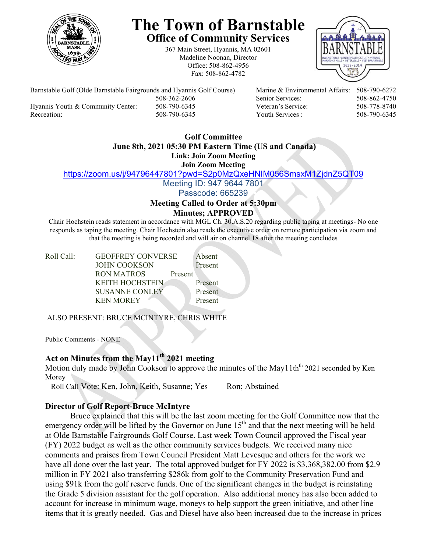

# **The Town of Barnstable Office of Community Services**

367 Main Street, Hyannis, MA 02601 Madeline Noonan, Director Office: 508-862-4956 Fax: 508-862-4782



Barnstable Golf (Olde Barnstable Fairgrounds and Hyannis Golf Course) Marine & Environmental Affairs: 508-790-6272 508-362-2606 Senior Services: 508-862-4750 Hyannis Youth & Community Center: 508-790-6345 Veteran's Service: 508-778-8740

Recreation: 508-790-6345 Youth Services : 508-790-6345

#### **Golf Committee June 8th, 2021 05:30 PM Eastern Time (US and Canada) Link: Join Zoom Meeting**

**Join Zoom Meeting** 

https://zoom.us/j/94796447801?pwd=S2p0MzQxeHNIM056SmsxM1ZjdnZ5QT09

Meeting ID: 947 9644 7801

Passcode: 665239

#### **Meeting Called to Order at 5:30pm Minutes; APPROVED**

Chair Hochstein reads statement in accordance with MGL Ch. 30.A.S.20 regarding public taping at meetings- No one responds as taping the meeting. Chair Hochstein also reads the executive order on remote participation via zoom and that the meeting is being recorded and will air on channel 18 after the meeting concludes

| Roll Call: | <b>GEOFFREY CONVERSE</b> |         | Absent  |
|------------|--------------------------|---------|---------|
|            | <b>JOHN COOKSON</b>      |         | Present |
|            | RON MATROS               | Present |         |
|            | <b>KEITH HOCHSTEIN</b>   |         | Present |
|            | SUSANNE CONLEY           |         | Present |
|            | <b>KEN MOREY</b>         |         | Present |
|            |                          |         |         |

ALSO PRESENT: BRUCE MCINTYRE, CHRIS WHITE

Public Comments - NONE

# **Act on Minutes from the May11th 2021 meeting**

Motion duly made by John Cookson to approve the minutes of the May11th<sup>th</sup> 2021 seconded by Ken Morey

Roll Call Vote: Ken, John, Keith, Susanne; Yes Ron; Abstained

# **Director of Golf Report-Bruce McIntyre**

Bruce explained that this will be the last zoom meeting for the Golf Committee now that the emergency order will be lifted by the Governor on June  $15<sup>th</sup>$  and that the next meeting will be held at Olde Barnstable Fairgrounds Golf Course. Last week Town Council approved the Fiscal year (FY) 2022 budget as well as the other community services budgets. We received many nice comments and praises from Town Council President Matt Levesque and others for the work we have all done over the last year. The total approved budget for FY 2022 is \$3,368,382.00 from \$2.9 million in FY 2021 also transferring \$286k from golf to the Community Preservation Fund and using \$91k from the golf reserve funds. One of the significant changes in the budget is reinstating the Grade 5 division assistant for the golf operation. Also additional money has also been added to account for increase in minimum wage, moneys to help support the green initiative, and other line items that it is greatly needed. Gas and Diesel have also been increased due to the increase in prices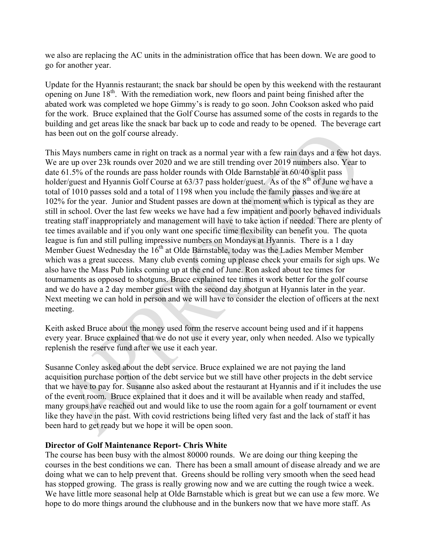we also are replacing the AC units in the administration office that has been down. We are good to go for another year.

Update for the Hyannis restaurant; the snack bar should be open by this weekend with the restaurant opening on June 18<sup>th</sup>. With the remediation work, new floors and paint being finished after the abated work was completed we hope Gimmy's is ready to go soon. John Cookson asked who paid for the work. Bruce explained that the Golf Course has assumed some of the costs in regards to the building and get areas like the snack bar back up to code and ready to be opened. The beverage cart has been out on the golf course already.

This Mays numbers came in right on track as a normal year with a few rain days and a few hot days. We are up over 23k rounds over 2020 and we are still trending over 2019 numbers also. Year to date 61.5% of the rounds are pass holder rounds with Olde Barnstable at 60/40 split pass holder/guest and Hyannis Golf Course at 63/37 pass holder/guest. As of the 8<sup>th</sup> of June we have a total of 1010 passes sold and a total of 1198 when you include the family passes and we are at 102% for the year. Junior and Student passes are down at the moment which is typical as they are still in school. Over the last few weeks we have had a few impatient and poorly behaved individuals treating staff inappropriately and management will have to take action if needed. There are plenty of tee times available and if you only want one specific time flexibility can benefit you. The quota league is fun and still pulling impressive numbers on Mondays at Hyannis. There is a 1 day Member Guest Wednesday the  $16<sup>th</sup>$  at Olde Barnstable, today was the Ladies Member Member which was a great success. Many club events coming up please check your emails for sigh ups. We also have the Mass Pub links coming up at the end of June. Ron asked about tee times for tournaments as opposed to shotguns. Bruce explained tee times it work better for the golf course and we do have a 2 day member guest with the second day shotgun at Hyannis later in the year. Next meeting we can hold in person and we will have to consider the election of officers at the next meeting.

Keith asked Bruce about the money used form the reserve account being used and if it happens every year. Bruce explained that we do not use it every year, only when needed. Also we typically replenish the reserve fund after we use it each year.

Susanne Conley asked about the debt service. Bruce explained we are not paying the land acquisition purchase portion of the debt service but we still have other projects in the debt service that we have to pay for. Susanne also asked about the restaurant at Hyannis and if it includes the use of the event room. Bruce explained that it does and it will be available when ready and staffed, many groups have reached out and would like to use the room again for a golf tournament or event like they have in the past. With covid restrictions being lifted very fast and the lack of staff it has been hard to get ready but we hope it will be open soon.

# **Director of Golf Maintenance Report- Chris White**

The course has been busy with the almost 80000 rounds. We are doing our thing keeping the courses in the best conditions we can. There has been a small amount of disease already and we are doing what we can to help prevent that. Greens should be rolling very smooth when the seed head has stopped growing. The grass is really growing now and we are cutting the rough twice a week. We have little more seasonal help at Olde Barnstable which is great but we can use a few more. We hope to do more things around the clubhouse and in the bunkers now that we have more staff. As